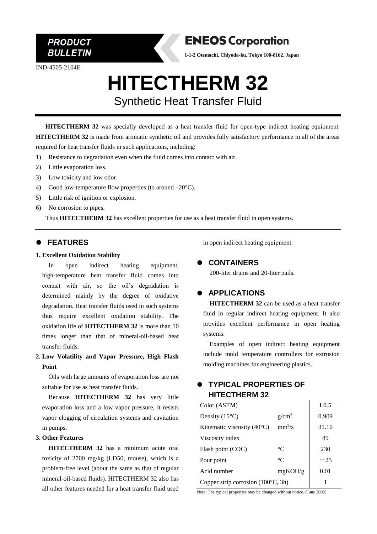

IND-4505-2104E



**1-1-2 Otemachi, Chiyoda-ku, Tokyo 100-8162, Japan**

# **HITECTHERM 32** Synthetic Heat Transfer Fluid

**HITECTHERM 32** was specially developed as a heat transfer fluid for open-type indirect heating equipment. **HITECTHERM 32** is made from aromatic synthetic oil and provides fully satisfactory performance in all of the areas required for heat transfer fluids in such applications, including:

- 1) Resistance to degradation even when the fluid comes into contact with air.
- 2) Little evaporation loss.
- 3) Low toxicity and low odor.
- 4) Good low-temperature flow properties (to around  $-20^{\circ}$ C).
- 5) Little risk of ignition or explosion.
- 6) No corrosion to pipes.

Thus **HITECTHERM 32** has excellent properties for use as a heat transfer fluid in open systems.

#### ⚫ **FEATURES**

#### **1. Excellent Oxidation Stability**

In open indirect heating equipment, high-temperature heat transfer fluid comes into contact with air, so the oil's degradation is determined mainly by the degree of oxidative degradation. Heat transfer fluids used in such systems thus require excellent oxidation stability. The oxidation life of **HITECTHERM 32** is more than 10 times longer than that of mineral-oil-based heat transfer fluids.

## **2. Low Volatility and Vapor Pressure, High Flash Point**

Oils with large amounts of evaporation loss are not suitable for use as heat transfer fluids.

Because **HITECTHERM 32** has very little evaporation loss and a low vapor pressure, it resists vapor clogging of circulation systems and cavitation in pumps.

#### **3. Other Features**

**HITECTHERM 32** has a minimum acute oral toxicity of 2700 mg/kg (LD50, mouse), which is a problem-free level (about the same as that of regular mineral-oil-based fluids). HITECTHERM 32 also has all other features needed for a heat transfer fluid used

in open indirect heating equipment.

#### ⚫ **CONTAINERS**

200-liter drums and 20-liter pails.

## ⚫ **APPLICATIONS**

**HITECTHERM 32** can be used as a heat transfer fluid in regular indirect heating equipment. It also provides excellent performance in open heating systems.

Examples of open indirect heating equipment include mold temperature controllers for extrusion molding machines for engineering plastics.

## ⚫ **TYPICAL PROPERTIES OF HITECTHERM 32**

| Color (ASTM)                                |             | L <sub>0.5</sub> |
|---------------------------------------------|-------------|------------------|
| Density $(15^{\circ}C)$                     | $g/cm^3$    | 0.909            |
| Kinematic viscosity $(40^{\circ}C)$         | $mm^2/s$    | 31.10            |
| Viscosity index                             |             | 89               |
| Flash point (COC)                           | $^{\circ}C$ | 230              |
| Pour point                                  | $^{\circ}C$ | $-25$            |
| Acid number                                 | mgKOH/g     | 0.01             |
| Copper strip corrosion $(100^{\circ}C, 3h)$ |             |                  |

Note: The typical properties may be changed without notice. (June 2002)